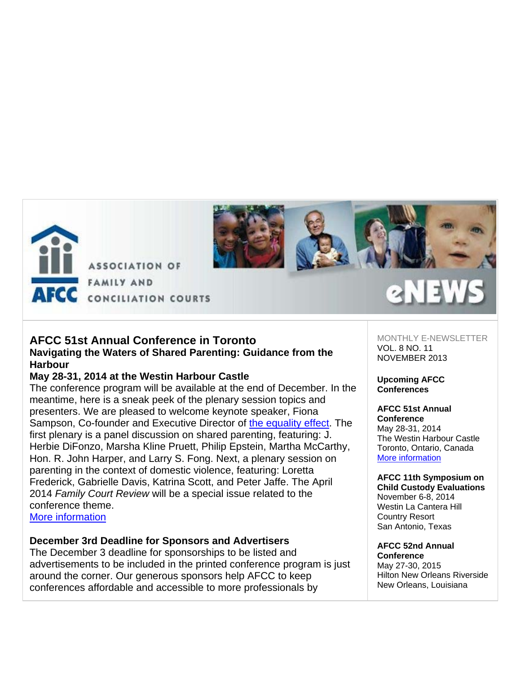

**ASSOCIATION OF FAMILY AND** 



## **AFCC 51st Annual Conference in Toronto Navigating the Waters of Shared Parenting: Guidance from the**

**Harbour**

# **May 28-31, 2014 at the Westin Harbour Castle**

The conference program will be available at the end of December. In the meantime, here is a sneak peek of the plenary session topics and presenters. We are pleased to welcome keynote speaker, Fiona Sampson, Co-founder and Executive Director of the equality effect. The first plenary is a panel discussion on shared parenting, featuring: J. Herbie DiFonzo, Marsha Kline Pruett, Philip Epstein, Martha McCarthy, Hon. R. John Harper, and Larry S. Fong. Next, a plenary session on parenting in the context of domestic violence, featuring: Loretta Frederick, Gabrielle Davis, Katrina Scott, and Peter Jaffe. The April 2014 *Family Court Review* will be a special issue related to the conference theme.

More information

# **December 3rd Deadline for Sponsors and Advertisers**

The December 3 deadline for sponsorships to be listed and advertisements to be included in the printed conference program is just around the corner. Our generous sponsors help AFCC to keep conferences affordable and accessible to more professionals by

MONTHLY E-NEWSLETTER VOL. 8 NO. 11 NOVEMBER 2013

**Upcoming AFCC Conferences**

#### **AFCC 51st Annual Conference**

May 28-31, 2014 The Westin Harbour Castle Toronto, Ontario, Canada More information

**AFCC 11th Symposium on Child Custody Evaluations** November 6-8, 2014 Westin La Cantera Hill Country Resort San Antonio, Texas

**AFCC 52nd Annual Conference** May 27-30, 2015 Hilton New Orleans Riverside New Orleans, Louisiana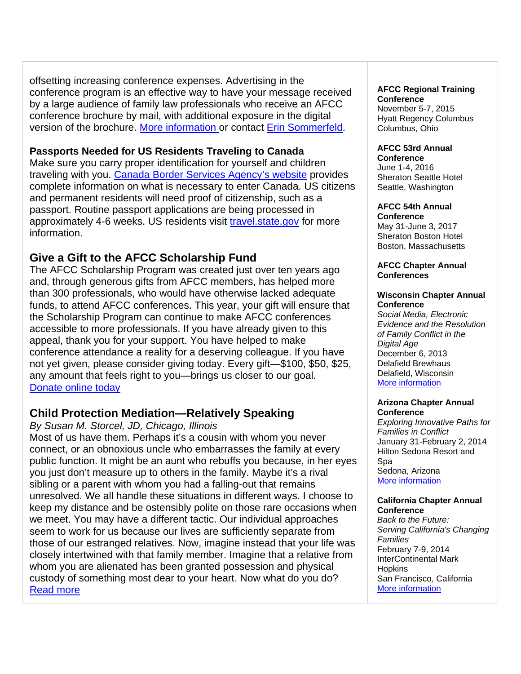offsetting increasing conference expenses. Advertising in the conference program is an effective way to have your message received by a large audience of family law professionals who receive an AFCC conference brochure by mail, with additional exposure in the digital version of the brochure. More information or contact Erin Sommerfeld.

# **Passports Needed for US Residents Traveling to Canada**

Make sure you carry proper identification for yourself and children traveling with you. Canada Border Services Agency's website provides complete information on what is necessary to enter Canada. US citizens and permanent residents will need proof of citizenship, such as a passport. Routine passport applications are being processed in approximately 4-6 weeks. US residents visit travel.state.gov for more information.

# **Give a Gift to the AFCC Scholarship Fund**

The AFCC Scholarship Program was created just over ten years ago and, through generous gifts from AFCC members, has helped more than 300 professionals, who would have otherwise lacked adequate funds, to attend AFCC conferences. This year, your gift will ensure that the Scholarship Program can continue to make AFCC conferences accessible to more professionals. If you have already given to this appeal, thank you for your support. You have helped to make conference attendance a reality for a deserving colleague. If you have not yet given, please consider giving today. Every gift—\$100, \$50, \$25, any amount that feels right to you—brings us closer to our goal. Donate online today

# **Child Protection Mediation—Relatively Speaking**

## *By Susan M. Storcel, JD, Chicago, Illinois*

Most of us have them. Perhaps it's a cousin with whom you never connect, or an obnoxious uncle who embarrasses the family at every public function. It might be an aunt who rebuffs you because, in her eyes you just don't measure up to others in the family. Maybe it's a rival sibling or a parent with whom you had a falling-out that remains unresolved. We all handle these situations in different ways. I choose to keep my distance and be ostensibly polite on those rare occasions when we meet. You may have a different tactic. Our individual approaches seem to work for us because our lives are sufficiently separate from those of our estranged relatives. Now, imagine instead that your life was closely intertwined with that family member. Imagine that a relative from whom you are alienated has been granted possession and physical custody of something most dear to your heart. Now what do you do? Read more

## **AFCC Regional Training Conference**

November 5-7, 2015 Hyatt Regency Columbus Columbus, Ohio

## **AFCC 53rd Annual**

**Conference** June 1-4, 2016 Sheraton Seattle Hotel Seattle, Washington

#### **AFCC 54th Annual Conference**

May 31-June 3, 2017 Sheraton Boston Hotel Boston, Massachusetts

### **AFCC Chapter Annual Conferences**

#### **Wisconsin Chapter Annual Conference**

*Social Media, Electronic Evidence and the Resolution of Family Conflict in the Digital Age* December 6, 2013 Delafield Brewhaus Delafield, Wisconsin More information

### **Arizona Chapter Annual Conference**

*Exploring Innovative Paths for Families in Conflict* January 31-February 2, 2014 Hilton Sedona Resort and Spa Sedona, Arizona More information

#### **California Chapter Annual Conference**

*Back to the Future: Serving California's Changing Families* February 7-9, 2014 InterContinental Mark **Hopkins** San Francisco, California More information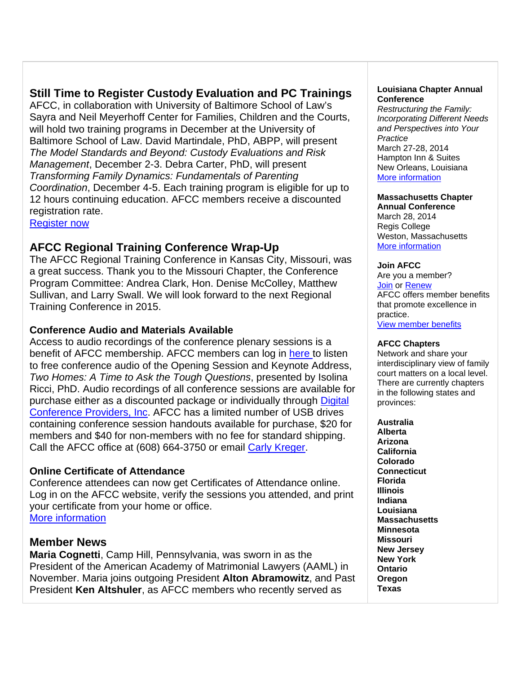# **Still Time to Register Custody Evaluation and PC Trainings**

AFCC, in collaboration with University of Baltimore School of Law's Sayra and Neil Meyerhoff Center for Families, Children and the Courts, will hold two training programs in December at the University of Baltimore School of Law. David Martindale, PhD, ABPP, will present *The Model Standards and Beyond: Custody Evaluations and Risk Management*, December 2-3. Debra Carter, PhD, will present *Transforming Family Dynamics: Fundamentals of Parenting Coordination*, December 4-5. Each training program is eligible for up to 12 hours continuing education. AFCC members receive a discounted registration rate.

Register now

# **AFCC Regional Training Conference Wrap-Up**

The AFCC Regional Training Conference in Kansas City, Missouri, was a great success. Thank you to the Missouri Chapter, the Conference Program Committee: Andrea Clark, Hon. Denise McColley, Matthew Sullivan, and Larry Swall. We will look forward to the next Regional Training Conference in 2015.

## **Conference Audio and Materials Available**

Access to audio recordings of the conference plenary sessions is a benefit of AFCC membership. AFCC members can log in here to listen to free conference audio of the Opening Session and Keynote Address, *Two Homes: A Time to Ask the Tough Questions*, presented by Isolina Ricci, PhD. Audio recordings of all conference sessions are available for purchase either as a discounted package or individually through Digital Conference Providers, Inc. AFCC has a limited number of USB drives containing conference session handouts available for purchase, \$20 for members and \$40 for non-members with no fee for standard shipping. Call the AFCC office at (608) 664-3750 or email Carly Kreger.

## **Online Certificate of Attendance**

Conference attendees can now get Certificates of Attendance online. Log in on the AFCC website, verify the sessions you attended, and print your certificate from your home or office. More information

# **Member News**

**Maria Cognetti**, Camp Hill, Pennsylvania, was sworn in as the President of the American Academy of Matrimonial Lawyers (AAML) in November. Maria joins outgoing President **Alton Abramowitz**, and Past President **Ken Altshuler**, as AFCC members who recently served as

#### **Louisiana Chapter Annual Conference**

*Restructuring the Family: Incorporating Different Needs and Perspectives into Your Practice* March 27-28, 2014 Hampton Inn & Suites New Orleans, Louisiana More information

## **Massachusetts Chapter**

**Annual Conference** March 28, 2014 Regis College Weston, Massachusetts More information

### **Join AFCC**

Are you a member? Join or Renew AFCC offers member benefits that promote excellence in practice. View member benefits

### **AFCC Chapters**

Network and share your interdisciplinary view of family court matters on a local level. There are currently chapters in the following states and provinces:

**Australia Alberta Arizona California Colorado Connecticut Florida Illinois Indiana Louisiana Massachusetts Minnesota Missouri New Jersey New York Ontario Oregon Texas**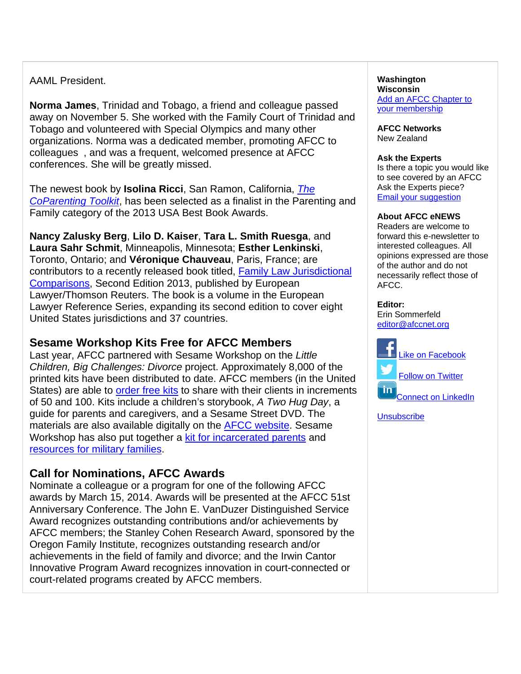# AAML President.

**Norma James**, Trinidad and Tobago, a friend and colleague passed away on November 5. She worked with the Family Court of Trinidad and Tobago and volunteered with Special Olympics and many other organizations. Norma was a dedicated member, promoting AFCC to colleagues , and was a frequent, welcomed presence at AFCC conferences. She will be greatly missed.

The newest book by **Isolina Ricci**, San Ramon, California, *The CoParenting Toolkit*, has been selected as a finalist in the Parenting and Family category of the 2013 USA Best Book Awards.

**Nancy Zalusky Berg**, **Lilo D. Kaiser**, **Tara L. Smith Ruesga**, and **Laura Sahr Schmit**, Minneapolis, Minnesota; **Esther Lenkinski**, Toronto, Ontario; and **Véronique Chauveau**, Paris, France; are contributors to a recently released book titled, Family Law Jurisdictional Comparisons, Second Edition 2013, published by European Lawyer/Thomson Reuters. The book is a volume in the European Lawyer Reference Series, expanding its second edition to cover eight United States jurisdictions and 37 countries.

# **Sesame Workshop Kits Free for AFCC Members**

Last year, AFCC partnered with Sesame Workshop on the *Little Children, Big Challenges: Divorce* project. Approximately 8,000 of the printed kits have been distributed to date. AFCC members (in the United States) are able to order free kits to share with their clients in increments of 50 and 100. Kits include a children's storybook, *A Two Hug Day*, a guide for parents and caregivers, and a Sesame Street DVD. The materials are also available digitally on the AFCC website. Sesame Workshop has also put together a kit for incarcerated parents and resources for military families.

# **Call for Nominations, AFCC Awards**

Nominate a colleague or a program for one of the following AFCC awards by March 15, 2014. Awards will be presented at the AFCC 51st Anniversary Conference. The John E. VanDuzer Distinguished Service Award recognizes outstanding contributions and/or achievements by AFCC members; the Stanley Cohen Research Award, sponsored by the Oregon Family Institute, recognizes outstanding research and/or achievements in the field of family and divorce; and the Irwin Cantor Innovative Program Award recognizes innovation in court-connected or court-related programs created by AFCC members.

#### **Washington Wisconsin**  Add an AFCC Chapter to your membership

**AFCC Networks**  New Zealand

#### **Ask the Experts** Is there a topic you would like

to see covered by an AFCC Ask the Experts piece? Email your suggestion

## **About AFCC eNEWS**

Readers are welcome to forward this e-newsletter to interested colleagues. All opinions expressed are those of the author and do not necessarily reflect those of AFCC.

### **Editor:**

Erin Sommerfeld editor@afccnet.org



**Unsubscribe**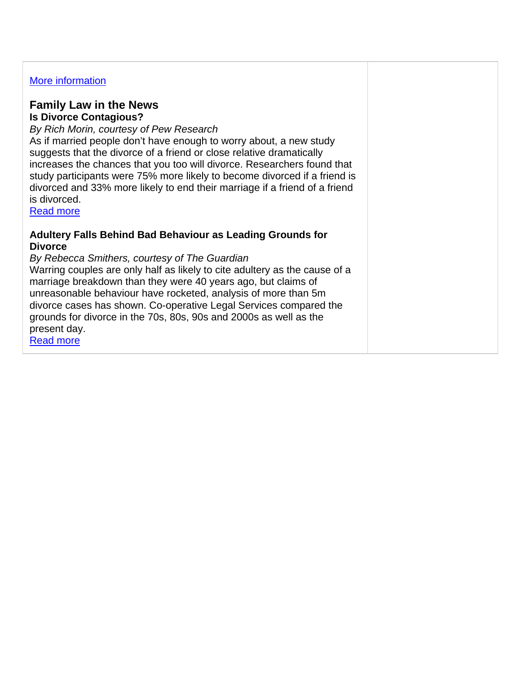## More information

## **Family Law in the News Is Divorce Contagious?**

## *By Rich Morin, courtesy of Pew Research*

As if married people don't have enough to worry about, a new study suggests that the divorce of a friend or close relative dramatically increases the chances that you too will divorce. Researchers found that study participants were 75% more likely to become divorced if a friend is divorced and 33% more likely to end their marriage if a friend of a friend is divorced.

Read more

## **Adultery Falls Behind Bad Behaviour as Leading Grounds for Divorce**

### *By Rebecca Smithers, courtesy of The Guardian*

Warring couples are only half as likely to cite adultery as the cause of a marriage breakdown than they were 40 years ago, but claims of unreasonable behaviour have rocketed, analysis of more than 5m divorce cases has shown. Co-operative Legal Services compared the grounds for divorce in the 70s, 80s, 90s and 2000s as well as the present day.

Read more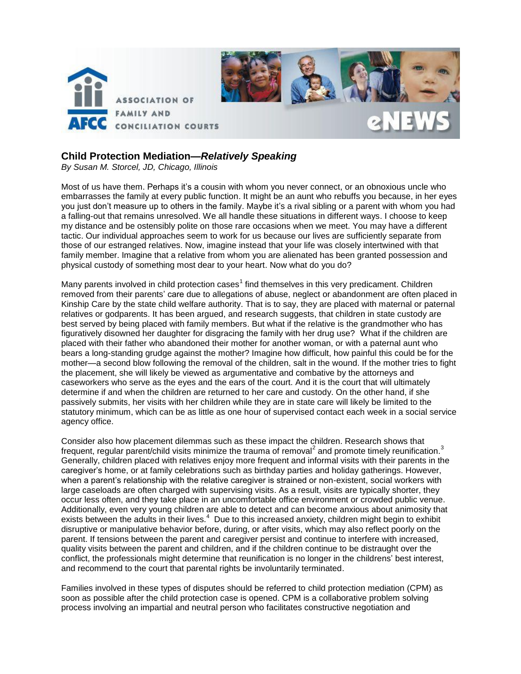

## **Child Protection Mediation—***Relatively Speaking*

*By Susan M. Storcel, JD, Chicago, Illinois* 

Most of us have them. Perhaps it's a cousin with whom you never connect, or an obnoxious uncle who embarrasses the family at every public function. It might be an aunt who rebuffs you because, in her eyes you just don't measure up to others in the family. Maybe it's a rival sibling or a parent with whom you had a falling-out that remains unresolved. We all handle these situations in different ways. I choose to keep my distance and be ostensibly polite on those rare occasions when we meet. You may have a different tactic. Our individual approaches seem to work for us because our lives are sufficiently separate from those of our estranged relatives. Now, imagine instead that your life was closely intertwined with that family member. Imagine that a relative from whom you are alienated has been granted possession and physical custody of something most dear to your heart. Now what do you do?

Many parents involved in child protection cases<sup>1</sup> find themselves in this very predicament. Children removed from their parents' care due to allegations of abuse, neglect or abandonment are often placed in Kinship Care by the state child welfare authority. That is to say, they are placed with maternal or paternal relatives or godparents. It has been argued, and research suggests, that children in state custody are best served by being placed with family members. But what if the relative is the grandmother who has figuratively disowned her daughter for disgracing the family with her drug use? What if the children are placed with their father who abandoned their mother for another woman, or with a paternal aunt who bears a long-standing grudge against the mother? Imagine how difficult, how painful this could be for the mother—a second blow following the removal of the children, salt in the wound. If the mother tries to fight the placement, she will likely be viewed as argumentative and combative by the attorneys and caseworkers who serve as the eyes and the ears of the court. And it is the court that will ultimately determine if and when the children are returned to her care and custody. On the other hand, if she passively submits, her visits with her children while they are in state care will likely be limited to the statutory minimum, which can be as little as one hour of supervised contact each week in a social service agency office.

Consider also how placement dilemmas such as these impact the children. Research shows that frequent, regular parent/child visits minimize the trauma of removal<sup>2</sup> and promote timely reunification.<sup>3</sup> Generally, children placed with relatives enjoy more frequent and informal visits with their parents in the caregiver's home, or at family celebrations such as birthday parties and holiday gatherings. However, when a parent's relationship with the relative caregiver is strained or non-existent, social workers with large caseloads are often charged with supervising visits. As a result, visits are typically shorter, they occur less often, and they take place in an uncomfortable office environment or crowded public venue. Additionally, even very young children are able to detect and can become anxious about animosity that exists between the adults in their lives.<sup>4</sup> Due to this increased anxiety, children might begin to exhibit disruptive or manipulative behavior before, during, or after visits, which may also reflect poorly on the parent. If tensions between the parent and caregiver persist and continue to interfere with increased, quality visits between the parent and children, and if the children continue to be distraught over the conflict, the professionals might determine that reunification is no longer in the childrens' best interest, and recommend to the court that parental rights be involuntarily terminated.

Families involved in these types of disputes should be referred to child protection mediation (CPM) as soon as possible after the child protection case is opened. CPM is a collaborative problem solving process involving an impartial and neutral person who facilitates constructive negotiation and